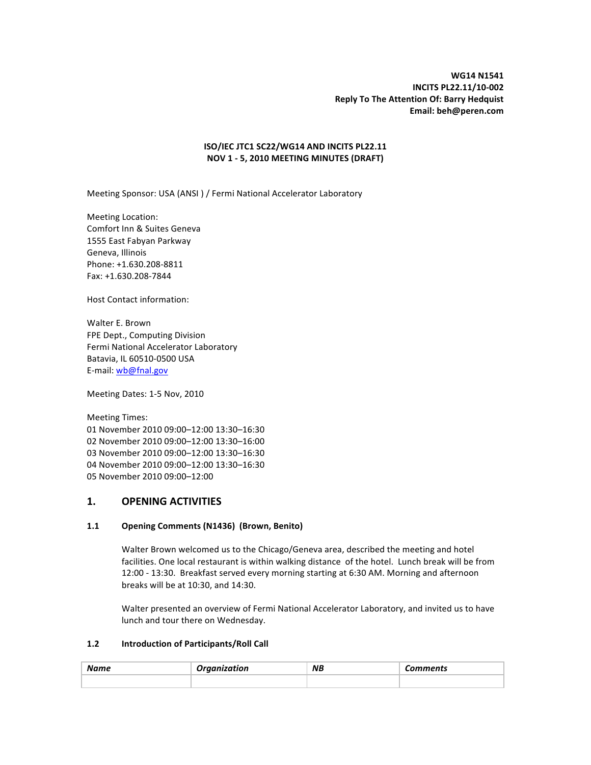## **ISO/IEC%JTC1 SC22/WG14%AND%INCITS%PL22.11 NOV%1%2%5,%2010%MEETING%MINUTES%(DRAFT)**

Meeting Sponsor: USA (ANSI) / Fermi National Accelerator Laboratory

Meeting Location: Comfort Inn & Suites Geneva 1555 East Fabyan Parkway Geneva, Illinois Phone: +1.630.208-8811 Fax: +1.630.208-7844

Host Contact information:

Walter E. Brown FPE Dept., Computing Division Fermi National Accelerator Laboratory Batavia, IL 60510-0500 USA E-mail: wb@fnal.gov

Meeting Dates: 1-5 Nov, 2010

Meeting Times: November 2010 09:00–12:00 13:30–16:30 November 2010 09:00–12:00 13:30–16:00 November 2010 09:00–12:00 13:30–16:30 November 2010 09:00–12:00 13:30–16:30 November 2010 09:00–12:00

# **1.% OPENING%ACTIVITIES%**

## 1.1 **Opening Comments (N1436) (Brown, Benito)**

Walter Brown welcomed us to the Chicago/Geneva area, described the meeting and hotel facilities. One local restaurant is within walking distance of the hotel. Lunch break will be from 12:00 - 13:30. Breakfast served every morning starting at 6:30 AM. Morning and afternoon breaks will be at 10:30, and 14:30.

Walter presented an overview of Fermi National Accelerator Laboratory, and invited us to have lunch and tour there on Wednesday.

#### **1.2 Introduction of Participants/Roll Call**

| <b>Name</b> | ------<br>''IOh | <b>NB</b> | omments |
|-------------|-----------------|-----------|---------|
|             |                 |           |         |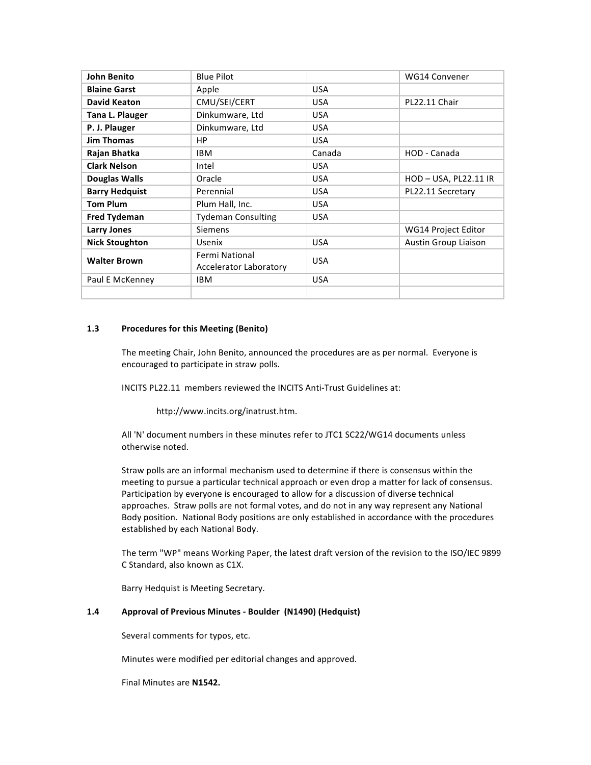| John Benito           | <b>Blue Pilot</b>                               |            | <b>WG14 Convener</b> |
|-----------------------|-------------------------------------------------|------------|----------------------|
| <b>Blaine Garst</b>   | Apple                                           | <b>USA</b> |                      |
| <b>David Keaton</b>   | CMU/SEI/CERT                                    | <b>USA</b> | PL22.11 Chair        |
| Tana L. Plauger       | Dinkumware, Ltd                                 | <b>USA</b> |                      |
| P. J. Plauger         | Dinkumware, Ltd                                 | <b>USA</b> |                      |
| <b>Jim Thomas</b>     | <b>HP</b>                                       | <b>USA</b> |                      |
| Rajan Bhatka          | <b>IBM</b>                                      | Canada     | HOD - Canada         |
| <b>Clark Nelson</b>   | Intel                                           | <b>USA</b> |                      |
| Douglas Walls         | Oracle                                          | <b>USA</b> | HOD-USA, PL22.11 IR  |
| <b>Barry Hedguist</b> | Perennial                                       | <b>USA</b> | PL22.11 Secretary    |
| <b>Tom Plum</b>       | Plum Hall, Inc.                                 | <b>USA</b> |                      |
| <b>Fred Tydeman</b>   | <b>Tydeman Consulting</b>                       | <b>USA</b> |                      |
| <b>Larry Jones</b>    | <b>Siemens</b>                                  |            | WG14 Project Editor  |
| <b>Nick Stoughton</b> | <b>Usenix</b>                                   | <b>USA</b> | Austin Group Liaison |
| <b>Walter Brown</b>   | Fermi National<br><b>Accelerator Laboratory</b> | <b>USA</b> |                      |
| Paul E McKenney       | <b>IBM</b>                                      | <b>USA</b> |                      |
|                       |                                                 |            |                      |

#### **1.3** Procedures for this Meeting (Benito)

The meeting Chair, John Benito, announced the procedures are as per normal. Everyone is encouraged to participate in straw polls.

INCITS PL22.11 members reviewed the INCITS Anti-Trust Guidelines at:

http://www.incits.org/inatrust.htm.

All 'N' document numbers in these minutes refer to JTC1 SC22/WG14 documents unless otherwise noted.

Straw polls are an informal mechanism used to determine if there is consensus within the meeting to pursue a particular technical approach or even drop a matter for lack of consensus. Participation by everyone is encouraged to allow for a discussion of diverse technical approaches. Straw polls are not formal votes, and do not in any way represent any National Body position. National Body positions are only established in accordance with the procedures established by each National Body.

The term "WP" means Working Paper, the latest draft version of the revision to the ISO/IEC 9899 C Standard, also known as C1X.

Barry Hedquist is Meeting Secretary.

#### **1.4 Approval of Previous Minutes - Boulder (N1490) (Hedquist)**

Several comments for typos, etc.

Minutes were modified per editorial changes and approved.

Final Minutes are **N1542.**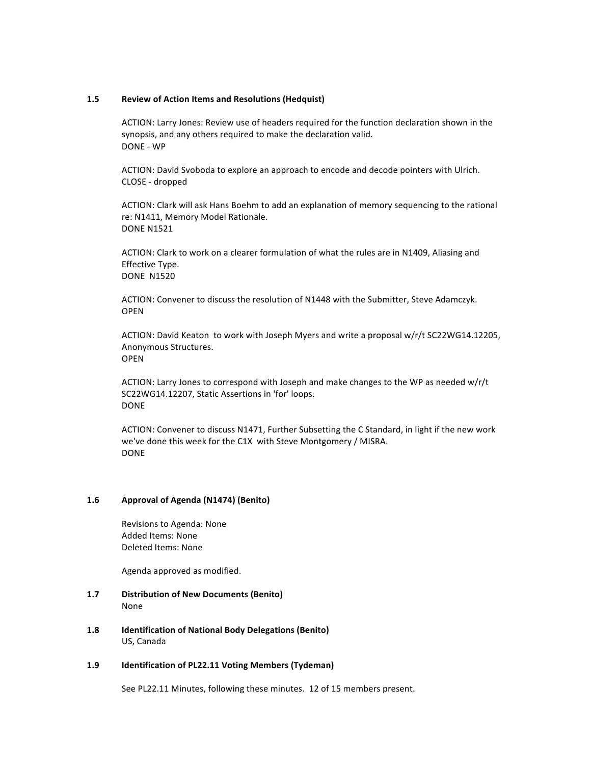#### **1.5 Review of Action Items and Resolutions (Hedquist)**

ACTION: Larry Jones: Review use of headers required for the function declaration shown in the synopsis, and any others required to make the declaration valid. DONE - WP

ACTION: David Svoboda to explore an approach to encode and decode pointers with Ulrich. CLOSE - dropped

ACTION: Clark will ask Hans Boehm to add an explanation of memory sequencing to the rational re: N1411, Memory Model Rationale. **DONE N1521** 

ACTION: Clark to work on a clearer formulation of what the rules are in N1409, Aliasing and Effective Type. **DONE N1520** 

ACTION: Convener to discuss the resolution of N1448 with the Submitter, Steve Adamczyk. OPEN

ACTION: David Keaton to work with Joseph Myers and write a proposal w/r/t SC22WG14.12205, Anonymous Structures. OPEN!

ACTION: Larry Jones to correspond with Joseph and make changes to the WP as needed w/r/t SC22WG14.12207, Static Assertions in 'for' loops. DONE

ACTION: Convener to discuss N1471, Further Subsetting the C Standard, in light if the new work we've done this week for the C1X with Steve Montgomery / MISRA. DONE

#### 1.6 **Approval of Agenda (N1474) (Benito)**

Revisions to Agenda: None Added Items: None Deleted Items: None

Agenda approved as modified.

- **1.7 Distribution of New Documents (Benito)** None
- 1.8 **Identification of National Body Delegations (Benito)** US, Canada

#### 1.9 **Identification of PL22.11 Voting Members (Tydeman)**

See PL22.11 Minutes, following these minutes. 12 of 15 members present.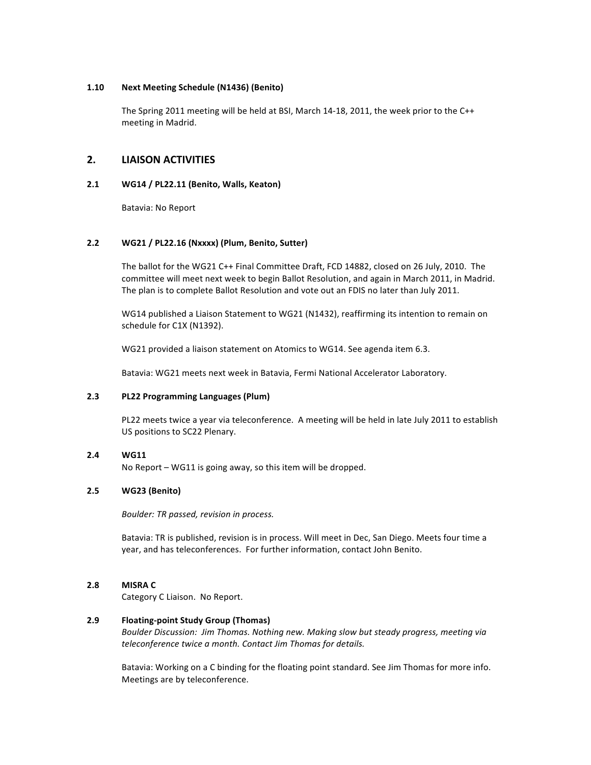#### **1.10 Next%Meeting%Schedule (N1436)%(Benito)**

The Spring 2011 meeting will be held at BSI, March 14-18, 2011, the week prior to the C++ meeting in Madrid.

# **2.% LIAISON%ACTIVITIES%**

## **2.1 WG14%/%PL22.11 (Benito,%Walls, Keaton)**

Batavia: No Report

## **2.2 WG21%/%PL22.16%(Nxxxx)%(Plum,%Benito,%Sutter)**

The ballot for the WG21 C++ Final Committee Draft, FCD 14882, closed on 26 July, 2010. The committee will meet next week to begin Ballot Resolution, and again in March 2011, in Madrid. The plan is to complete Ballot Resolution and vote out an FDIS no later than July 2011.

WG14 published a Liaison Statement to WG21 (N1432), reaffirming its intention to remain on schedule for C1X (N1392).

WG21 provided a liaison statement on Atomics to WG14. See agenda item 6.3.

Batavia: WG21 meets next week in Batavia, Fermi National Accelerator Laboratory.

## **2.3 PL22%Programming%Languages%(Plum)**

PL22 meets twice a year via teleconference. A meeting will be held in late July 2011 to establish US positions to SC22 Plenary.

## **2.4 WG11**

No Report – WG11 is going away, so this item will be dropped.

## **2.5 WG23%(Benito)**

*Boulder: TR passed, revision in process.* 

Batavia: TR is published, revision is in process. Will meet in Dec, San Diego. Meets four time a year, and has teleconferences. For further information, contact John Benito.

#### **2.8% MISRA%C**

Category C Liaison. No Report.

## **2.9 Floating-point Study Group (Thomas)**

Boulder Discussion: Jim Thomas. Nothing new. Making slow but steady progress, meeting via *teleconference twice a month. Contact Jim Thomas for details.* 

Batavia: Working on a C binding for the floating point standard. See Jim Thomas for more info. Meetings are by teleconference.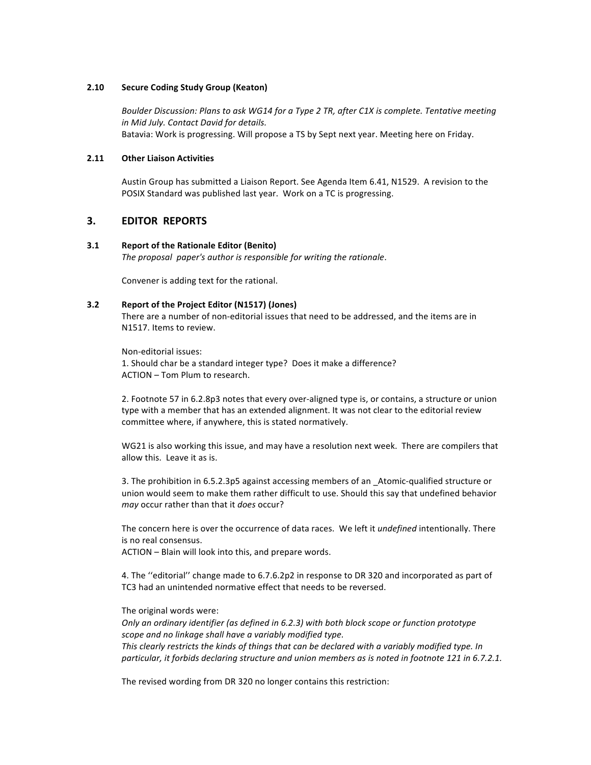#### **2.10 Secure Coding Study Group (Keaton)**

Boulder Discussion: Plans to ask WG14 for a Type 2 TR, after C1X is complete. Tentative meeting *in Mid July. Contact David for details.* Batavia: Work is progressing. Will propose a TS by Sept next year. Meeting here on Friday.

#### **2.11 Other%Liaison%Activities**

Austin Group has submitted a Liaison Report. See Agenda Item 6.41, N1529. A revision to the POSIX Standard was published last year. Work on a TC is progressing.

## **3.% EDITOR%%REPORTS**

#### **3.1 Report of the Rationale Editor (Benito)**

*The proposal paper's author is responsible for writing the rationale.* 

Convener is adding text for the rational.

## **3.2 Report of the Project Editor (N1517) (Jones)**

There are a number of non-editorial issues that need to be addressed, and the items are in N1517. Items to review.

Non-editorial issues: 1. Should char be a standard integer type? Does it make a difference? ACTION – Tom Plum to research.

2. Footnote 57 in 6.2.8p3 notes that every over-aligned type is, or contains, a structure or union type with a member that has an extended alignment. It was not clear to the editorial review committee where, if anywhere, this is stated normatively.

WG21 is also working this issue, and may have a resolution next week. There are compilers that allow this. Leave it as is.

3. The prohibition in 6.5.2.3p5 against accessing members of an Atomic-qualified structure or union would seem to make them rather difficult to use. Should this say that undefined behavior *may* occur rather than that it *does* occur?

The concern here is over the occurrence of data races. We left it *undefined* intentionally. There is no real consensus.

ACTION – Blain will look into this, and prepare words.

4. The "editorial" change made to 6.7.6.2p2 in response to DR 320 and incorporated as part of TC3 had an unintended normative effect that needs to be reversed.

The original words were:

*Only an ordinary identifier (as defined in 6.2.3) with both block scope or function prototype scope and no linkage shall have a variably modified type.* This clearly restricts the kinds of things that can be declared with a variably modified type. In particular, it forbids declaring structure and union members as is noted in footnote 121 in 6.7.2.1.

The revised wording from DR 320 no longer contains this restriction: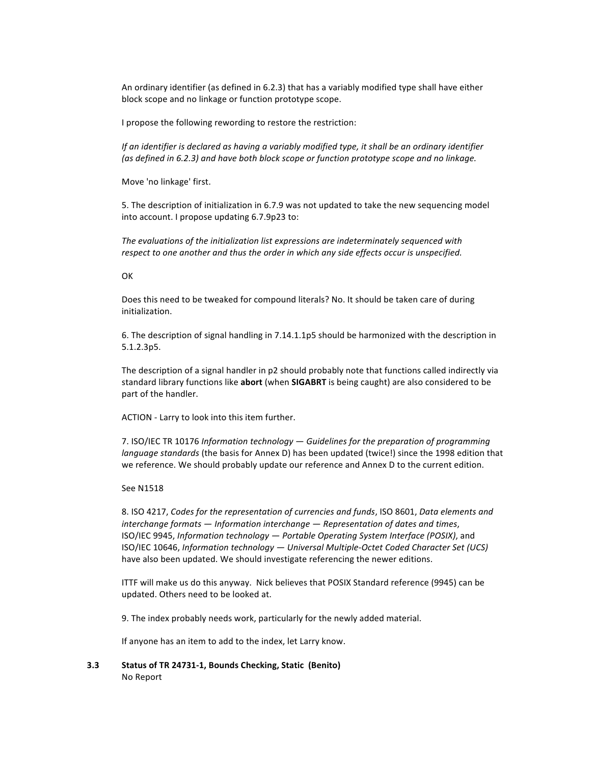An ordinary identifier (as defined in 6.2.3) that has a variably modified type shall have either block scope and no linkage or function prototype scope.

I propose the following rewording to restore the restriction:

*If an identifier is declared as having a variably modified type, it shall be an ordinary identifier (as defined in 6.2.3) and have both block scope or function prototype scope and no linkage.* 

Move 'no linkage' first.

5. The description of initialization in 6.7.9 was not updated to take the new sequencing model into account. I propose updating 6.7.9p23 to:

The evaluations of the initialization list expressions are indeterminately sequenced with respect to one another and thus the order in which any side effects occur is unspecified.

#### **OK**

Does this need to be tweaked for compound literals? No. It should be taken care of during initialization.

6. The description of signal handling in 7.14.1.1p5 should be harmonized with the description in 5.1.2.3p5.

The description of a signal handler in p2 should probably note that functions called indirectly via standard library functions like abort (when SIGABRT is being caught) are also considered to be part of the handler.

ACTION - Larry to look into this item further.

7. ISO/IEC TR 10176 *Information technology — Guidelines for the preparation of programming language standards* (the basis for Annex D) has been updated (twice!) since the 1998 edition that we reference. We should probably update our reference and Annex D to the current edition.

#### See N1518

8. ISO 4217, *Codes for the representation of currencies and funds*, ISO 8601, *Data elements and interchange formats — Information interchange — Representation of dates and times,* ISO/IEC 9945, Information technology — Portable Operating System Interface (POSIX), and ISO/IEC 10646, Information technology — Universal Multiple-Octet Coded Character Set (UCS) have also been updated. We should investigate referencing the newer editions.

ITTF will make us do this anyway. Nick believes that POSIX Standard reference (9945) can be updated. Others need to be looked at.

9. The index probably needs work, particularly for the newly added material.

If anyone has an item to add to the index, let Larry know.

**3.3 Status of TR 24731-1, Bounds Checking, Static (Benito)** No Report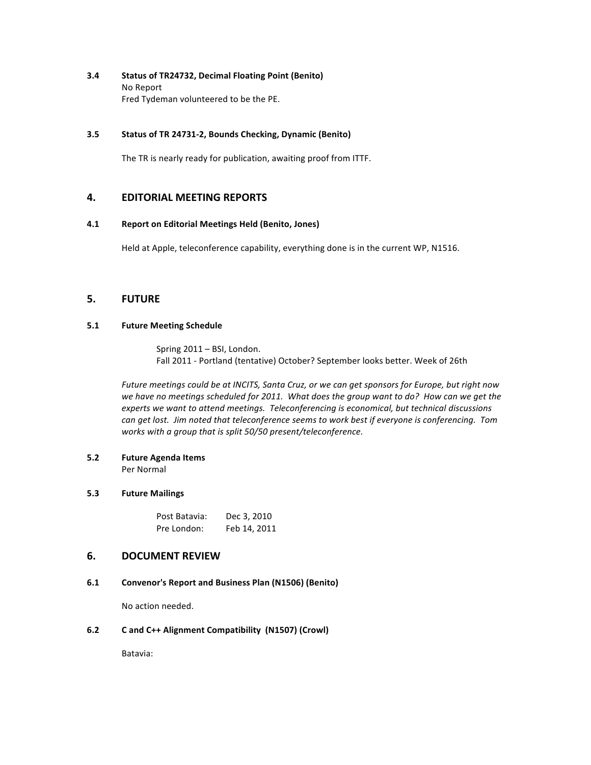**3.4 Status%of%TR24732,%Decimal%Floating%Point%(Benito)** No Report Fred Tydeman volunteered to be the PE.

#### **3.5 Status of TR 24731-2, Bounds Checking, Dynamic (Benito)**

The TR is nearly ready for publication, awaiting proof from ITTF.

# **4. EDITORIAL MEETING REPORTS**

#### **4.1 Report%on%Editorial%Meetings%Held%(Benito,%Jones)**

Held at Apple, teleconference capability, everything done is in the current WP, N1516.

# **5.% FUTURE%**

## **5.1 •• Future Meeting Schedule**

Spring 2011 – BSI, London. Fall 2011 - Portland (tentative) October? September looks better. Week of 26th

Future meetings could be at INCITS, Santa Cruz, or we can get sponsors for Europe, but right now *we have no meetings scheduled for 2011. What does the group want to do? How can we get the experts we want to attend meetings. Teleconferencing is economical, but technical discussions* can get lost. Jim noted that teleconference seems to work best if everyone is conferencing. Tom works with a group that is split 50/50 present/teleconference.

**5.2 Future%Agenda%Items** Per Normal

#### **5.3 Future%Mailings**

| Post Batavia: | Dec 3, 2010  |
|---------------|--------------|
| Pre London:   | Feb 14, 2011 |

# **6. DOCUMENT REVIEW**

## **6.1 Convenor's%Report%and%Business%Plan%(N1506)%(Benito)**

No action needed.

## **6.2 C** and C++ Alignment Compatibility (N1507) (Crowl)

Batavia: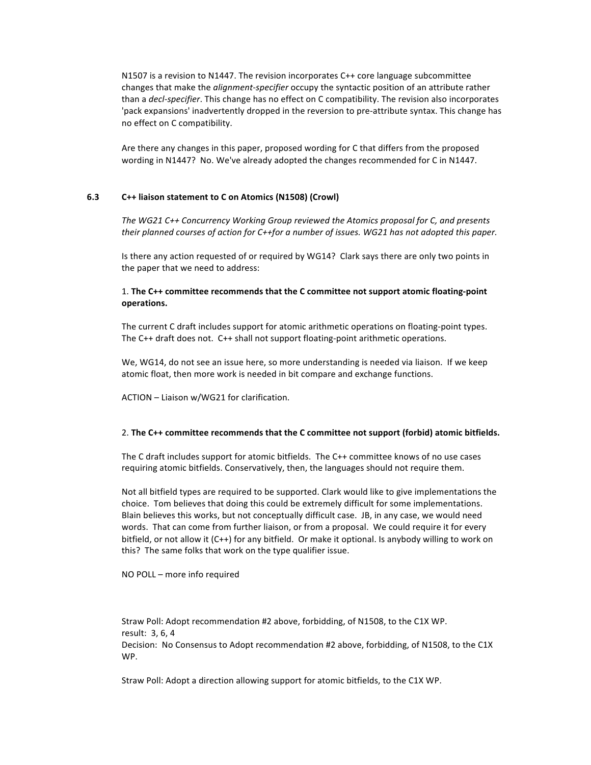N1507 is a revision to N1447. The revision incorporates  $C++$  core language subcommittee changes that make the *alignment-specifier* occupy the syntactic position of an attribute rather than a *decl-specifier*. This change has no effect on C compatibility. The revision also incorporates 'pack expansions' inadvertently dropped in the reversion to pre-attribute syntax. This change has no effect on C compatibility.

Are there any changes in this paper, proposed wording for C that differs from the proposed wording in N1447? No. We've already adopted the changes recommended for C in N1447.

#### **6.3 C++ liaison statement to C on Atomics (N1508) (Crowl)**

The WG21 C++ Concurrency Working Group reviewed the Atomics proposal for C, and presents *their planned courses of action for C++for a number of issues. WG21 has not adopted this paper.* 

Is there any action requested of or required by WG14? Clark says there are only two points in the paper that we need to address:

## 1. The C++ committee recommends that the C committee not support atomic floating-point **operations.**

The current C draft includes support for atomic arithmetic operations on floating-point types. The C++ draft does not. C++ shall not support floating-point arithmetic operations.

We, WG14, do not see an issue here, so more understanding is needed via liaison. If we keep atomic float, then more work is needed in bit compare and exchange functions.

ACTION – Liaison w/WG21 for clarification.

#### 2. The C++ committee recommends that the C committee not support (forbid) atomic bitfields.

The C draft includes support for atomic bitfields. The C++ committee knows of no use cases requiring atomic bitfields. Conservatively, then, the languages should not require them.

Not all bitfield types are required to be supported. Clark would like to give implementations the choice. Tom believes that doing this could be extremely difficult for some implementations. Blain believes this works, but not conceptually difficult case. JB, in any case, we would need words. That can come from further liaison, or from a proposal. We could require it for every bitfield, or not allow it (C++) for any bitfield. Or make it optional. Is anybody willing to work on this? The same folks that work on the type qualifier issue.

#### NO POLL – more info required

Straw Poll: Adopt recommendation #2 above, forbidding, of N1508, to the C1X WP. result: 3, 6, 4 Decision: No Consensus to Adopt recommendation #2 above, forbidding, of N1508, to the C1X WP.

Straw Poll: Adopt a direction allowing support for atomic bitfields, to the C1X WP.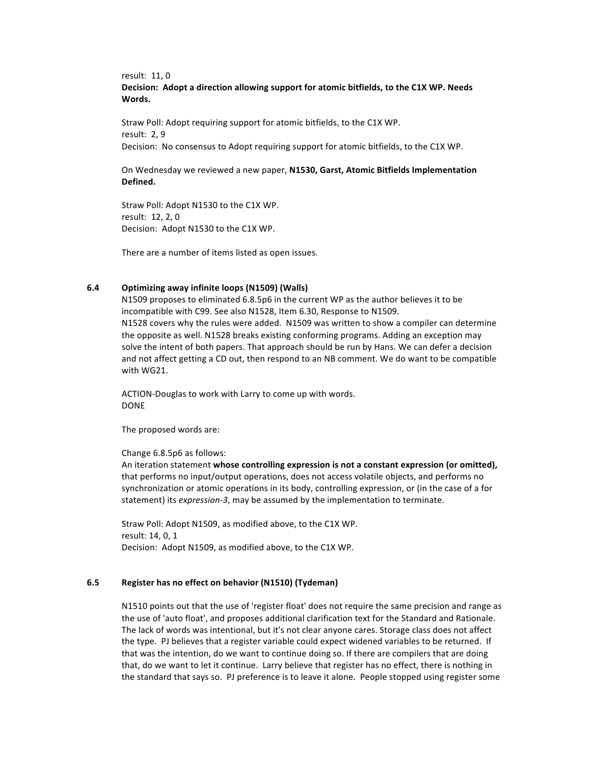result: 11, 0 Decision: Adopt a direction allowing support for atomic bitfields, to the C1X WP. Needs **Words.**

Straw Poll: Adopt requiring support for atomic bitfields, to the C1X WP. result: 2.9 Decision: No consensus to Adopt requiring support for atomic bitfields, to the C1X WP.

On Wednesday we reviewed a new paper, N1530, Garst, Atomic Bitfields Implementation **Defined.**

Straw Poll: Adopt N1530 to the C1X WP. result: 12, 2, 0 Decision: Adopt N1530 to the C1X WP.

There are a number of items listed as open issues.

#### **6.4 Optimizing%away%infinite%loops (N1509)%(Walls)**

N1509 proposes to eliminated 6.8.5p6 in the current WP as the author believes it to be incompatible with C99. See also N1528, Item 6.30, Response to N1509. N1528 covers why the rules were added. N1509 was written to show a compiler can determine the opposite as well. N1528 breaks existing conforming programs. Adding an exception may solve the intent of both papers. That approach should be run by Hans. We can defer a decision and not affect getting a CD out, then respond to an NB comment. We do want to be compatible with WG21.

ACTION-Douglas to work with Larry to come up with words. DONE

The proposed words are:

Change 6.8.5p6 as follows:

An iteration statement whose controlling expression is not a constant expression (or omitted), that performs no input/output operations, does not access volatile objects, and performs no synchronization or atomic operations in its body, controlling expression, or (in the case of a for statement) its *expression-3*, may be assumed by the implementation to terminate.

Straw Poll: Adopt N1509, as modified above, to the C1X WP. result: 14, 0, 1 Decision: Adopt N1509, as modified above, to the C1X WP.

#### **6.5 Register has no effect on behavior (N1510) (Tydeman)**

N1510 points out that the use of 'register float' does not require the same precision and range as the use of 'auto float', and proposes additional clarification text for the Standard and Rationale. The lack of words was intentional, but it's not clear anyone cares. Storage class does not affect the type. PJ believes that a register variable could expect widened variables to be returned. If that was the intention, do we want to continue doing so. If there are compilers that are doing that, do we want to let it continue. Larry believe that register has no effect, there is nothing in the standard that says so. PJ preference is to leave it alone. People stopped using register some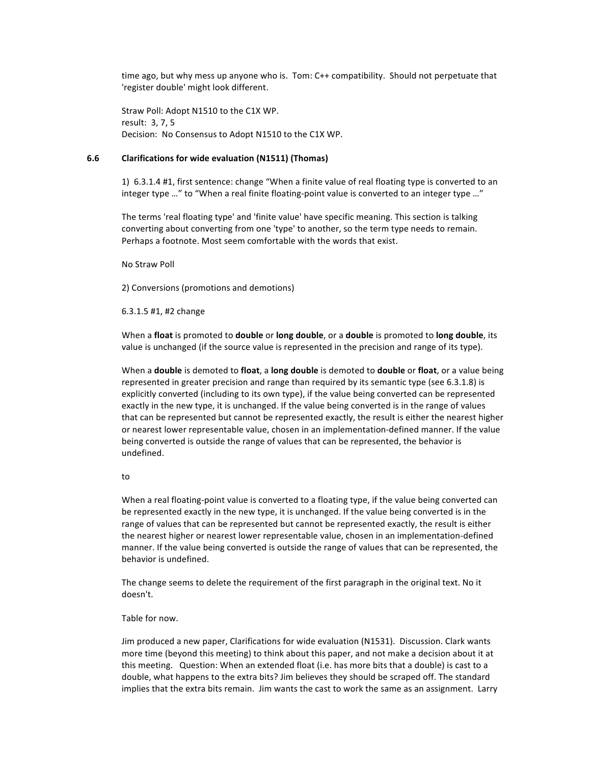time ago, but why mess up anyone who is. Tom: C++ compatibility. Should not perpetuate that 'register double' might look different.

Straw Poll: Adopt N1510 to the C1X WP. result: 3, 7, 5 Decision: No Consensus to Adopt N1510 to the C1X WP.

#### **6.6 Clarifications for wide evaluation (N1511) (Thomas)**

1)  $6.3.1.4$  #1, first sentence: change "When a finite value of real floating type is converted to an integer type …" to "When a real finite floating-point value is converted to an integer type …"

The terms 'real floating type' and 'finite value' have specific meaning. This section is talking converting about converting from one 'type' to another, so the term type needs to remain. Perhaps a footnote. Most seem comfortable with the words that exist.

No!Straw!Poll

2) Conversions (promotions and demotions)

6.3.1.5 #1, #2 change

When a **float** is promoted to **double** or long double, or a double is promoted to long double, its value is unchanged (if the source value is represented in the precision and range of its type).

When a **double** is demoted to float, a long double is demoted to **double** or float, or a value being represented in greater precision and range than required by its semantic type (see 6.3.1.8) is explicitly converted (including to its own type), if the value being converted can be represented exactly in the new type, it is unchanged. If the value being converted is in the range of values that can be represented but cannot be represented exactly, the result is either the nearest higher or nearest lower representable value, chosen in an implementation-defined manner. If the value being converted is outside the range of values that can be represented, the behavior is undefined.

#### to!

When a real floating-point value is converted to a floating type, if the value being converted can be represented exactly in the new type, it is unchanged. If the value being converted is in the range of values that can be represented but cannot be represented exactly, the result is either the nearest higher or nearest lower representable value, chosen in an implementation-defined manner. If the value being converted is outside the range of values that can be represented, the behavior is undefined.

The change seems to delete the requirement of the first paragraph in the original text. No it doesn't.

#### Table for now.

Jim produced a new paper, Clarifications for wide evaluation (N1531). Discussion. Clark wants more time (beyond this meeting) to think about this paper, and not make a decision about it at this meeting. Question: When an extended float (i.e. has more bits that a double) is cast to a double, what happens to the extra bits? Jim believes they should be scraped off. The standard implies that the extra bits remain. Jim wants the cast to work the same as an assignment. Larry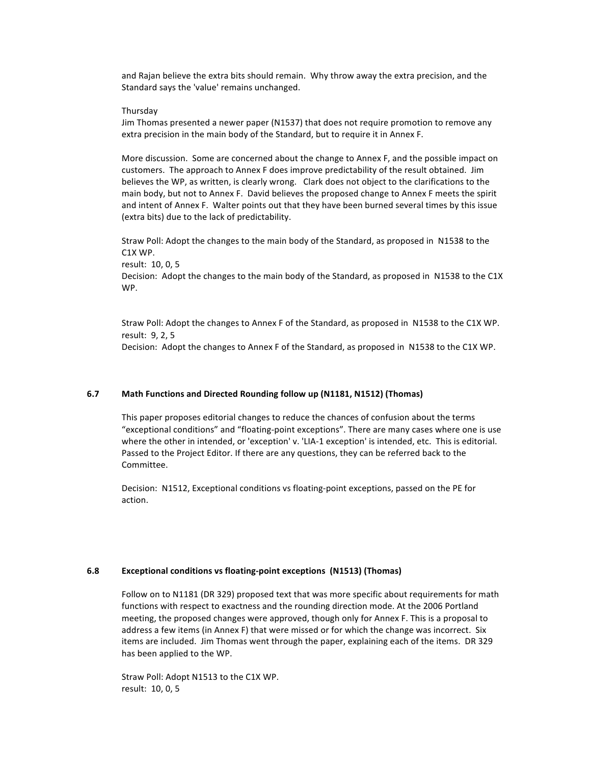and Rajan believe the extra bits should remain. Why throw away the extra precision, and the Standard says the 'value' remains unchanged.

#### Thursday

Jim Thomas presented a newer paper (N1537) that does not require promotion to remove any extra precision in the main body of the Standard, but to require it in Annex F.

More discussion. Some are concerned about the change to Annex F, and the possible impact on customers. The approach to Annex F does improve predictability of the result obtained. Jim believes the WP, as written, is clearly wrong. Clark does not object to the clarifications to the main body, but not to Annex F. David believes the proposed change to Annex F meets the spirit and intent of Annex F. Walter points out that they have been burned several times by this issue (extra bits) due to the lack of predictability.

Straw Poll: Adopt the changes to the main body of the Standard, as proposed in N1538 to the C1X!WP. result: 10, 0, 5 Decision: Adopt the changes to the main body of the Standard, as proposed in N1538 to the C1X WP.

Straw Poll: Adopt the changes to Annex F of the Standard, as proposed in N1538 to the C1X WP. result: 9, 2, 5 Decision: Adopt the changes to Annex F of the Standard, as proposed in N1538 to the C1X WP.

#### **6.7 Math Functions and Directed Rounding follow up (N1181, N1512) (Thomas)**

This paper proposes editorial changes to reduce the chances of confusion about the terms "exceptional conditions" and "floating-point exceptions". There are many cases where one is use where the other in intended, or 'exception' v. 'LIA-1 exception' is intended, etc. This is editorial. Passed to the Project Editor. If there are any questions, they can be referred back to the Committee.

Decision: N1512, Exceptional conditions vs floating-point exceptions, passed on the PE for action.

#### **6.8 Exceptional conditions vs floating-point exceptions (N1513) (Thomas)**

Follow on to N1181 (DR 329) proposed text that was more specific about requirements for math functions with respect to exactness and the rounding direction mode. At the 2006 Portland meeting, the proposed changes were approved, though only for Annex F. This is a proposal to address a few items (in Annex F) that were missed or for which the change was incorrect. Six items are included. Jim Thomas went through the paper, explaining each of the items. DR 329 has been applied to the WP.

Straw Poll: Adopt N1513 to the C1X WP. result: 10, 0, 5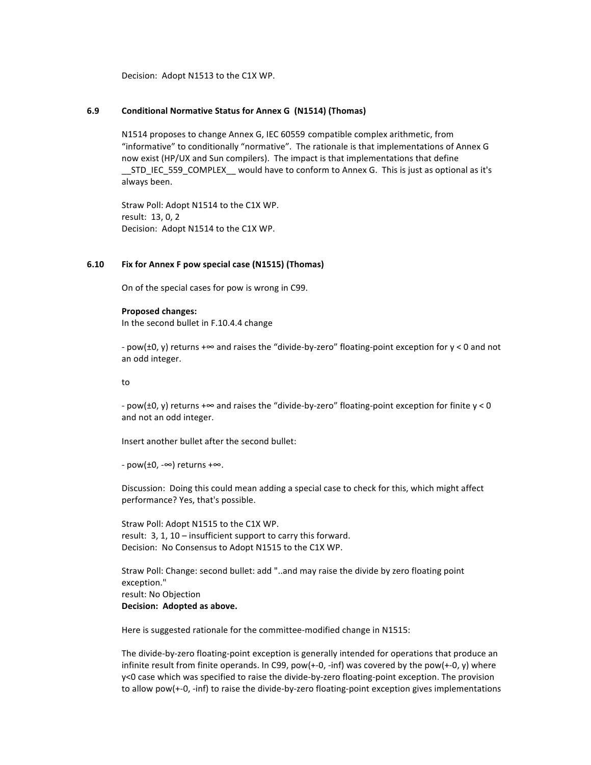Decision: Adopt N1513 to the C1X WP.

#### **6.9 Conditional%Normative%Status%for%Annex%G %(N1514)%(Thomas)**

N1514 proposes to change Annex G, IEC 60559 compatible complex arithmetic, from "informative" to conditionally "normative". The rationale is that implementations of Annex G now exist (HP/UX and Sun compilers). The impact is that implementations that define \_STD\_IEC\_559\_COMPLEX\_\_ would have to conform to Annex G. This is just as optional as it's always been.

Straw Poll: Adopt N1514 to the C1X WP. result: 13, 0, 2 Decision: Adopt N1514 to the C1X WP.

#### **6.10 Fix%for%Annex%F%pow%special%case (N1515)%(Thomas)**

On of the special cases for pow is wrong in C99.

#### **Proposed changes:**

In the second bullet in F.10.4.4 change

- pow(±0, y) returns +∞ and raises the "divide-by-zero" floating-point exception for y < 0 and not an odd integer.

to!

- pow(±0, y) returns +∞ and raises the "divide-by-zero" floating-point exception for finite y < 0 and not an odd integer.

Insert another bullet after the second bullet:

 $-$  pow( $\pm 0$ ,  $-\infty$ ) returns + $\infty$ .

Discussion: Doing this could mean adding a special case to check for this, which might affect performance? Yes, that's possible.

Straw Poll: Adopt N1515 to the C1X WP. result:  $3$ ,  $1$ ,  $10$  – insufficient support to carry this forward. Decision: No Consensus to Adopt N1515 to the C1X WP.

Straw Poll: Change: second bullet: add "..and may raise the divide by zero floating point exception." result: No Objection **Decision: Adopted as above.** 

Here is suggested rationale for the committee-modified change in N1515:

The divide-by-zero floating-point exception is generally intended for operations that produce an infinite result from finite operands. In C99, pow( $+-0$ ,  $-$ inf) was covered by the pow( $+-0$ , y) where y<0 case which was specified to raise the divide-by-zero floating-point exception. The provision to allow pow(+-0, -inf) to raise the divide-by-zero floating-point exception gives implementations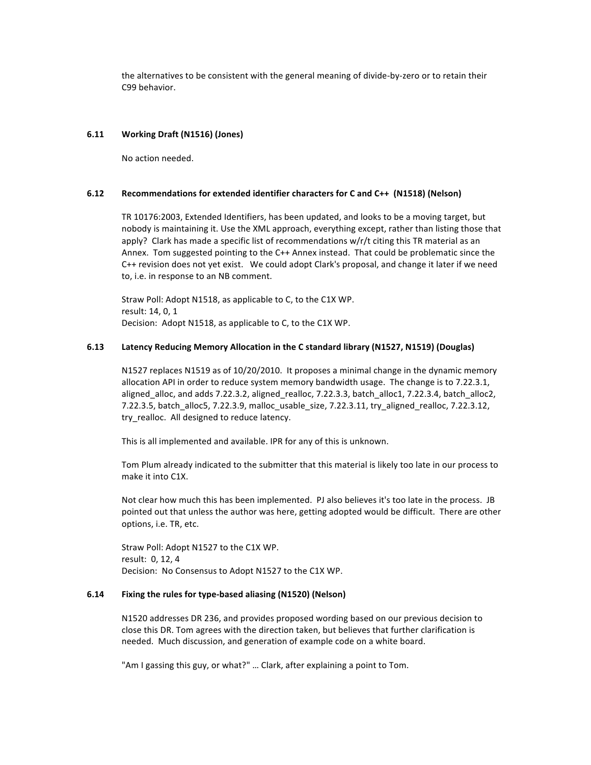the alternatives to be consistent with the general meaning of divide-by-zero or to retain their C99 hehavior.

#### **6.11 Working%Draft%(N1516)%(Jones)**

No action needed.

#### **6.12 Recommendations for extended identifier characters for C and C++ (N1518) (Nelson)**

TR 10176:2003, Extended Identifiers, has been updated, and looks to be a moving target, but nobody is maintaining it. Use the XML approach, everything except, rather than listing those that apply? Clark has made a specific list of recommendations  $w/r/t$  citing this TR material as an Annex. Tom suggested pointing to the C++ Annex instead. That could be problematic since the C++ revision does not yet exist. We could adopt Clark's proposal, and change it later if we need to, i.e. in response to an NB comment.

Straw Poll: Adopt N1518, as applicable to C, to the C1X WP. result: 14, 0, 1 Decision: Adopt N1518, as applicable to C, to the C1X WP.

#### **6.13** Latency Reducing Memory Allocation in the C standard library (N1527, N1519) (Douglas)

N1527 replaces N1519 as of 10/20/2010. It proposes a minimal change in the dynamic memory allocation API in order to reduce system memory bandwidth usage. The change is to 7.22.3.1, aligned\_alloc, and adds 7.22.3.2, aligned\_realloc, 7.22.3.3, batch\_alloc1, 7.22.3.4, batch\_alloc2, 7.22.3.5, batch\_alloc5, 7.22.3.9, malloc\_usable\_size, 7.22.3.11, try\_aligned\_realloc, 7.22.3.12, try realloc. All designed to reduce latency.

This is all implemented and available. IPR for any of this is unknown.

Tom Plum already indicated to the submitter that this material is likely too late in our process to make it into C1X.

Not clear how much this has been implemented. PJ also believes it's too late in the process. JB pointed out that unless the author was here, getting adopted would be difficult. There are other options, i.e. TR, etc.

Straw Poll: Adopt N1527 to the C1X WP. result: 0, 12, 4 Decision: No Consensus to Adopt N1527 to the C1X WP.

#### **6.14 Fixing the rules for type-based aliasing (N1520) (Nelson)**

N1520 addresses DR 236, and provides proposed wording based on our previous decision to close this DR. Tom agrees with the direction taken, but believes that further clarification is needed. Much discussion, and generation of example code on a white board.

"Am I gassing this guy, or what?" ... Clark, after explaining a point to Tom.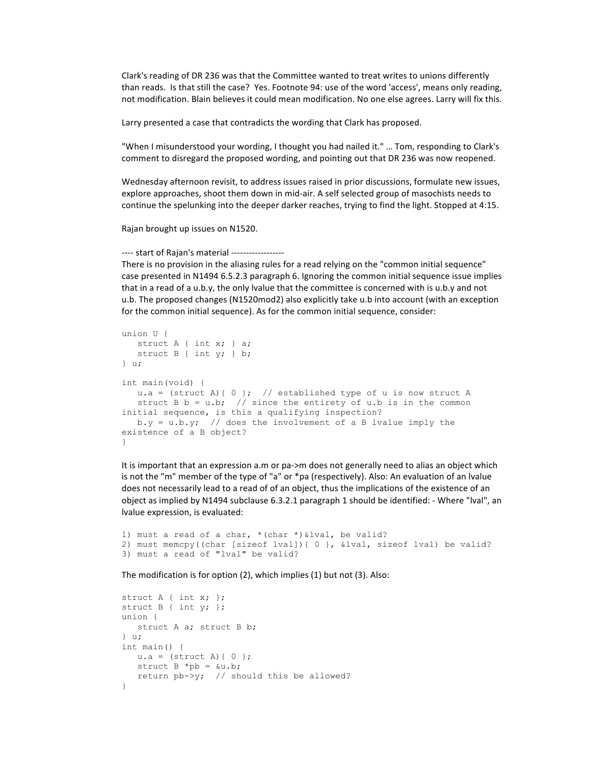Clark's reading of DR 236 was that the Committee wanted to treat writes to unions differently than reads. Is that still the case? Yes. Footnote 94: use of the word 'access', means only reading, not modification. Blain believes it could mean modification. No one else agrees. Larry will fix this.

Larry presented a case that contradicts the wording that Clark has proposed.

"When I misunderstood your wording, I thought you had nailed it." ... Tom, responding to Clark's comment to disregard the proposed wording, and pointing out that DR 236 was now reopened.

Wednesday afternoon revisit, to address issues raised in prior discussions, formulate new issues, explore approaches, shoot them down in mid-air. A self selected group of masochists needs to continue the spelunking into the deeper darker reaches, trying to find the light. Stopped at 4:15.

Rajan brought up issues on N1520.

#### ---- start of Rajan's material ------------------

There is no provision in the aliasing rules for a read relying on the "common initial sequence" case presented in N1494 6.5.2.3 paragraph 6. Ignoring the common initial sequence issue implies that in a read of a u.b.y, the only lvalue that the committee is concerned with is u.b.y and not u.b. The proposed changes (N1520mod2) also explicitly take u.b into account (with an exception for the common initial sequence). As for the common initial sequence, consider:

```
union U {
   struct A { int x; } a;
  struct B { int y; } b;
} u;
int main(void) {
  u.a = (struct A) { 0 }; // established type of u is now struct A
  struct B b = u.b; // since the entirety of u.b is in the common
initial sequence, is this a qualifying inspection?
  b.y = u.b.y; // does the involvement of a B lvalue imply the
existence of a B object?
}
```
It is important that an expression a.m or pa->m does not generally need to alias an object which is not the "m" member of the type of "a" or \*pa (respectively). Also: An evaluation of an Ivalue does not necessarily lead to a read of of an object, thus the implications of the existence of an object as implied by N1494 subclause 6.3.2.1 paragraph 1 should be identified: - Where "lval", an lvalue expression, is evaluated:

```
1) must a read of a char, *(char *)&lval, be valid?
2) must memcpy((char [sizeof lval]){ 0 }, &lval, sizeof lval) be valid?
3) must a read of "lval" be valid?
```
The modification is for option (2), which implies (1) but not (3). Also:

```
struct A { int x; };
struct B { int y; };
union {
    struct A a; struct B b;
} u;
int main() {
  u.a = (struct A) { 0 };struct B * pb = 6u.b;return pb \rightarrow y; // should this be allowed?
}
```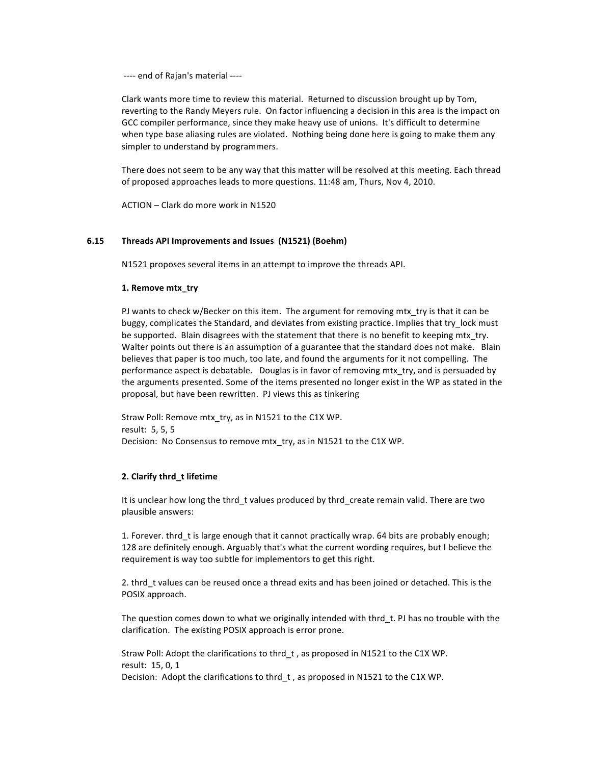---- end of Rajan's material ----

Clark wants more time to review this material. Returned to discussion brought up by Tom, reverting to the Randy Meyers rule. On factor influencing a decision in this area is the impact on GCC compiler performance, since they make heavy use of unions. It's difficult to determine when type base aliasing rules are violated. Nothing being done here is going to make them any simpler to understand by programmers.

There does not seem to be any way that this matter will be resolved at this meeting. Each thread of proposed approaches leads to more questions. 11:48 am, Thurs, Nov 4, 2010.

ACTION – Clark do more work in N1520

#### **6.15 Threads%API%Improvements%and%Issues %(N1521)%(Boehm)**

N1521 proposes several items in an attempt to improve the threads API.

#### **1. Remove mtx try**

PJ wants to check w/Becker on this item. The argument for removing mtx try is that it can be buggy, complicates the Standard, and deviates from existing practice. Implies that try lock must be supported. Blain disagrees with the statement that there is no benefit to keeping mtx\_try. Walter points out there is an assumption of a guarantee that the standard does not make. Blain believes that paper is too much, too late, and found the arguments for it not compelling. The performance aspect is debatable. Douglas is in favor of removing mtx\_try, and is persuaded by the arguments presented. Some of the items presented no longer exist in the WP as stated in the proposal, but have been rewritten. PJ views this as tinkering

Straw Poll: Remove mtx try, as in N1521 to the C1X WP. result: 5, 5, 5 Decision: No Consensus to remove mtx try, as in N1521 to the C1X WP.

#### **2. Clarify thrd t lifetime**

It is unclear how long the thrd t values produced by thrd create remain valid. There are two plausible answers:

1. Forever. thrd\_t is large enough that it cannot practically wrap. 64 bits are probably enough; 128 are definitely enough. Arguably that's what the current wording requires, but I believe the requirement is way too subtle for implementors to get this right.

2. thrd\_t values can be reused once a thread exits and has been joined or detached. This is the POSIX approach.

The question comes down to what we originally intended with thrd t. PJ has no trouble with the clarification. The existing POSIX approach is error prone.

Straw Poll: Adopt the clarifications to thrd\_t, as proposed in N1521 to the C1X WP. result: 15, 0, 1 Decision: Adopt the clarifications to thrd\_t, as proposed in N1521 to the C1X WP.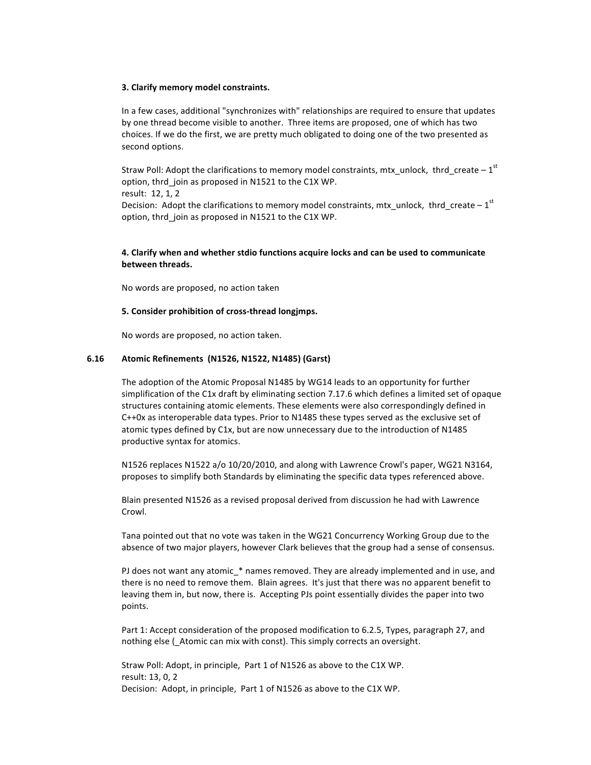#### **3. Clarify memory model constraints.**

In a few cases, additional "synchronizes with" relationships are required to ensure that updates by one thread become visible to another. Three items are proposed, one of which has two choices. If we do the first, we are pretty much obligated to doing one of the two presented as second options.

Straw Poll: Adopt the clarifications to memory model constraints, mtx\_unlock, thrd\_create –  $1<sup>st</sup>$ option, thrd join as proposed in N1521 to the C1X WP. result: 12, 1, 2 Decision: Adopt the clarifications to memory model constraints, mtx\_unlock, thrd\_create –  $1<sup>st</sup>$ option, thrd\_join as proposed in N1521 to the C1X WP.

## **4. Clarify when and whether stdio functions acquire locks and can be used to communicate between threads.**

No words are proposed, no action taken

#### **5. Consider prohibition of cross-thread longimps.**

No words are proposed, no action taken.

#### **6.16 Atomic%Refinements %(N1526,%N1522,%N1485)%(Garst)**

The adoption of the Atomic Proposal N1485 by WG14 leads to an opportunity for further simplification of the C1x draft by eliminating section 7.17.6 which defines a limited set of opaque structures containing atomic elements. These elements were also correspondingly defined in  $C++0x$  as interoperable data types. Prior to N1485 these types served as the exclusive set of atomic types defined by C1x, but are now unnecessary due to the introduction of N1485 productive syntax for atomics.

N1526 replaces N1522 a/o 10/20/2010, and along with Lawrence Crowl's paper, WG21 N3164, proposes to simplify both Standards by eliminating the specific data types referenced above.

Blain presented N1526 as a revised proposal derived from discussion he had with Lawrence Crowl.

Tana pointed out that no vote was taken in the WG21 Concurrency Working Group due to the absence of two major players, however Clark believes that the group had a sense of consensus.

PJ does not want any atomic \* names removed. They are already implemented and in use, and there is no need to remove them. Blain agrees. It's just that there was no apparent benefit to leaving them in, but now, there is. Accepting PJs point essentially divides the paper into two points.

Part 1: Accept consideration of the proposed modification to 6.2.5, Types, paragraph 27, and nothing else (\_Atomic can mix with const). This simply corrects an oversight.

Straw Poll: Adopt, in principle, Part 1 of N1526 as above to the C1X WP. result: 13, 0, 2 Decision: Adopt, in principle, Part 1 of N1526 as above to the C1X WP.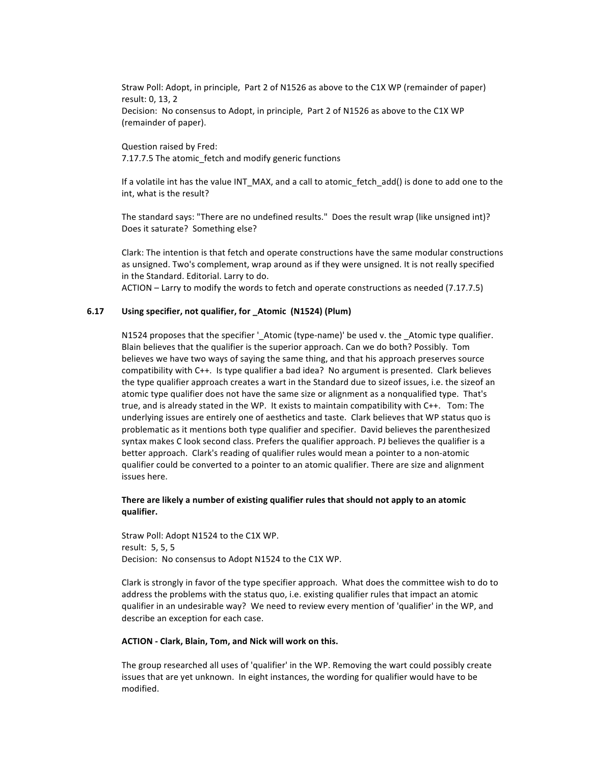Straw Poll: Adopt, in principle, Part 2 of N1526 as above to the C1X WP (remainder of paper) result: 0, 13, 2 Decision: No consensus to Adopt, in principle, Part 2 of N1526 as above to the C1X WP

Question raised by Fred: 7.17.7.5 The atomic\_fetch and modify generic functions

(remainder of paper).

If a volatile int has the value INT\_MAX, and a call to atomic\_fetch\_add() is done to add one to the int, what is the result?

The standard says: "There are no undefined results." Does the result wrap (like unsigned int)? Does it saturate? Something else?

Clark: The intention is that fetch and operate constructions have the same modular constructions as unsigned. Two's complement, wrap around as if they were unsigned. It is not really specified in the Standard. Editorial. Larry to do.

ACTION – Larry to modify the words to fetch and operate constructions as needed (7.17.7.5)

#### **6.17 Using%specifier,%not%qualifier,%for%\_Atomic %(N1524)%(Plum)**

N1524 proposes that the specifier '\_Atomic (type-name)' be used v. the \_Atomic type qualifier. Blain believes that the qualifier is the superior approach. Can we do both? Possibly. Tom believes we have two ways of saying the same thing, and that his approach preserves source compatibility with C++. Is type qualifier a bad idea? No argument is presented. Clark believes the type qualifier approach creates a wart in the Standard due to sizeof issues, i.e. the sizeof an atomic type qualifier does not have the same size or alignment as a nonqualified type. That's true, and is already stated in the WP. It exists to maintain compatibility with C++. Tom: The underlying issues are entirely one of aesthetics and taste. Clark believes that WP status quo is problematic as it mentions both type qualifier and specifier. David believes the parenthesized syntax makes C look second class. Prefers the qualifier approach. PJ believes the qualifier is a better approach. Clark's reading of qualifier rules would mean a pointer to a non-atomic qualifier could be converted to a pointer to an atomic qualifier. There are size and alignment issues here.

#### There are likely a number of existing qualifier rules that should not apply to an atomic **qualifier.%**

Straw Poll: Adopt N1524 to the C1X WP. result: 5, 5, 5 Decision: No consensus to Adopt N1524 to the C1X WP.

Clark is strongly in favor of the type specifier approach. What does the committee wish to do to address the problems with the status quo, i.e. existing qualifier rules that impact an atomic qualifier in an undesirable way? We need to review every mention of 'qualifier' in the WP, and describe an exception for each case.

#### ACTION - Clark, Blain, Tom, and Nick will work on this.

The group researched all uses of 'qualifier' in the WP. Removing the wart could possibly create issues that are yet unknown. In eight instances, the wording for qualifier would have to be modified.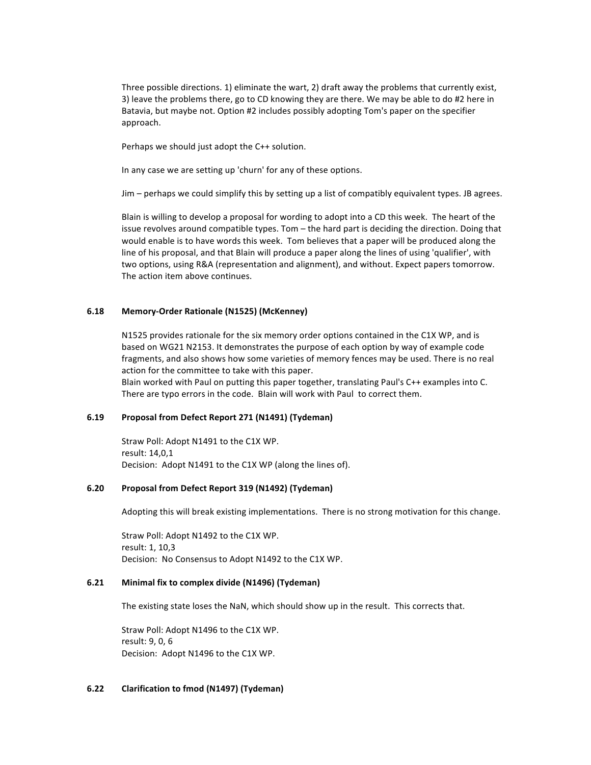Three possible directions. 1) eliminate the wart, 2) draft away the problems that currently exist, 3) leave the problems there, go to CD knowing they are there. We may be able to do #2 here in Batavia, but maybe not. Option #2 includes possibly adopting Tom's paper on the specifier approach.

Perhaps we should just adopt the C++ solution.

In any case we are setting up 'churn' for any of these options.

Jim – perhaps we could simplify this by setting up a list of compatibly equivalent types. JB agrees.

Blain is willing to develop a proposal for wording to adopt into a CD this week. The heart of the issue revolves around compatible types. Tom – the hard part is deciding the direction. Doing that would enable is to have words this week. Tom believes that a paper will be produced along the line of his proposal, and that Blain will produce a paper along the lines of using 'qualifier', with two options, using R&A (representation and alignment), and without. Expect papers tomorrow. The action item above continues.

## 6.18 **Memory-Order Rationale (N1525) (McKenney)**

N1525 provides rationale for the six memory order options contained in the C1X WP, and is based on WG21 N2153. It demonstrates the purpose of each option by way of example code fragments, and also shows how some varieties of memory fences may be used. There is no real action for the committee to take with this paper.

Blain worked with Paul on putting this paper together, translating Paul's C++ examples into C. There are typo errors in the code. Blain will work with Paul to correct them.

#### **6.19** Proposal from Defect Report 271 (N1491) (Tydeman)

Straw Poll: Adopt N1491 to the C1X WP. result: 14,0,1 Decision: Adopt N1491 to the C1X WP (along the lines of).

## **6.20 Proposal%from%Defect%Report%319 (N1492)%(Tydeman)**

Adopting this will break existing implementations. There is no strong motivation for this change.

Straw Poll: Adopt N1492 to the C1X WP. result: 1, 10,3 Decision: No Consensus to Adopt N1492 to the C1X WP.

#### **6.21 Minimal fix to complex divide (N1496) (Tydeman)**

The existing state loses the NaN, which should show up in the result. This corrects that.

Straw Poll: Adopt N1496 to the C1X WP. result: 9, 0, 6 Decision: Adopt N1496 to the C1X WP.

#### **6.22 Clarification to fmod (N1497) (Tydeman)**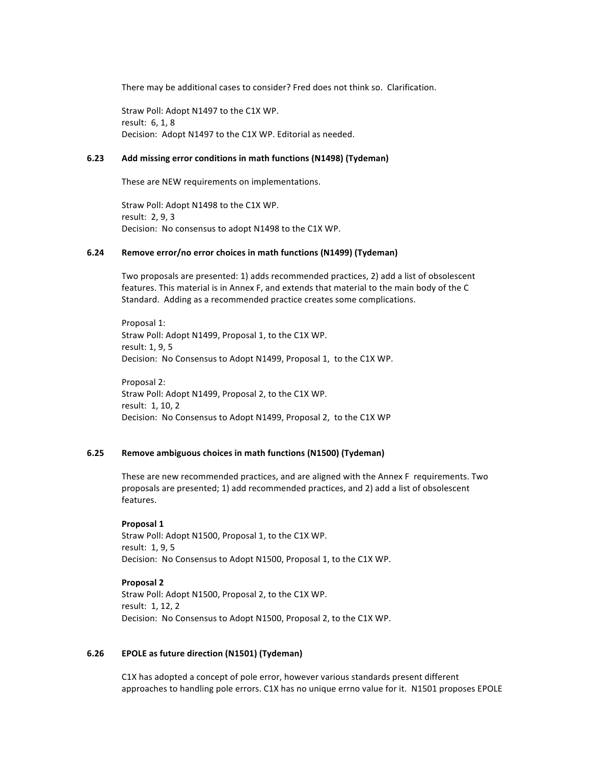There may be additional cases to consider? Fred does not think so. Clarification.

Straw Poll: Adopt N1497 to the C1X WP. result: 6, 1, 8 Decision: Adopt N1497 to the C1X WP. Editorial as needed.

## **6.23** Add missing error conditions in math functions (N1498) (Tydeman)

These are NEW requirements on implementations.

Straw Poll: Adopt N1498 to the C1X WP. result: 2, 9, 3 Decision: No consensus to adopt N1498 to the C1X WP.

#### **6.24** Remove error/no error choices in math functions (N1499) (Tydeman)

Two proposals are presented: 1) adds recommended practices, 2) add a list of obsolescent features. This material is in Annex F, and extends that material to the main body of the C Standard. Adding as a recommended practice creates some complications.

Proposal 1: Straw Poll: Adopt N1499, Proposal 1, to the C1X WP. result: 1, 9, 5 Decision: No Consensus to Adopt N1499, Proposal 1, to the C1X WP.

Proposal 2: Straw Poll: Adopt N1499, Proposal 2, to the C1X WP. result: 1, 10, 2 Decision: No Consensus to Adopt N1499, Proposal 2, to the C1X WP

#### **6.25 Remove ambiguous choices in math functions (N1500) (Tydeman)**

These are new recommended practices, and are aligned with the Annex F requirements. Two proposals are presented; 1) add recommended practices, and 2) add a list of obsolescent features.

#### **Proposal 1**

Straw Poll: Adopt N1500, Proposal 1, to the C1X WP. result: 1, 9, 5 Decision: No Consensus to Adopt N1500, Proposal 1, to the C1X WP.

#### **Proposal 2**

Straw Poll: Adopt N1500, Proposal 2, to the C1X WP. result: 1, 12, 2 Decision: No Consensus to Adopt N1500, Proposal 2, to the C1X WP.

#### **6.26 EPOLE as future direction (N1501) (Tydeman)**

C1X has adopted a concept of pole error, however various standards present different approaches to handling pole errors. C1X has no unique errno value for it. N1501 proposes EPOLE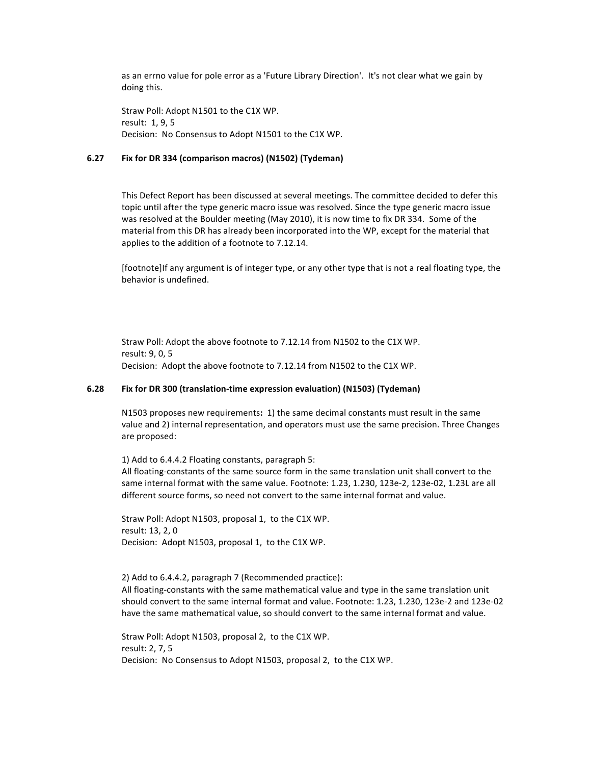as an errno value for pole error as a 'Future Library Direction'. It's not clear what we gain by doing this.

Straw Poll: Adopt N1501 to the C1X WP. result: 1, 9, 5 Decision: No Consensus to Adopt N1501 to the C1X WP.

## **6.27 Fix%for%DR%334%(comparison%macros) (N1502)%(Tydeman)**

This Defect Report has been discussed at several meetings. The committee decided to defer this topic until after the type generic macro issue was resolved. Since the type generic macro issue was resolved at the Boulder meeting (May 2010), it is now time to fix DR 334. Some of the material from this DR has already been incorporated into the WP, except for the material that applies to the addition of a footnote to 7.12.14.

[footnote]If any argument is of integer type, or any other type that is not a real floating type, the behavior is undefined.

Straw Poll: Adopt the above footnote to 7.12.14 from N1502 to the C1X WP. result: 9, 0, 5 Decision: Adopt the above footnote to 7.12.14 from N1502 to the C1X WP.

#### **6.28 Fix for DR 300 (translation-time expression evaluation) (N1503) (Tydeman)**

N1503 proposes new requirements: 1) the same decimal constants must result in the same value and 2) internal representation, and operators must use the same precision. Three Changes are proposed:

1) Add to 6.4.4.2 Floating constants, paragraph 5: All floating-constants of the same source form in the same translation unit shall convert to the same internal format with the same value. Footnote: 1.23, 1.230, 123e-2, 123e-02, 1.23L are all different source forms, so need not convert to the same internal format and value.

Straw Poll: Adopt N1503, proposal 1, to the C1X WP. result: 13, 2, 0 Decision: Adopt N1503, proposal 1, to the C1X WP.

2) Add to 6.4.4.2, paragraph 7 (Recommended practice): All floating-constants with the same mathematical value and type in the same translation unit should convert to the same internal format and value. Footnote: 1.23, 1.230, 123e-2 and 123e-02 have the same mathematical value, so should convert to the same internal format and value.

Straw Poll: Adopt N1503, proposal 2, to the C1X WP. result: 2, 7, 5 Decision: No Consensus to Adopt N1503, proposal 2, to the C1X WP.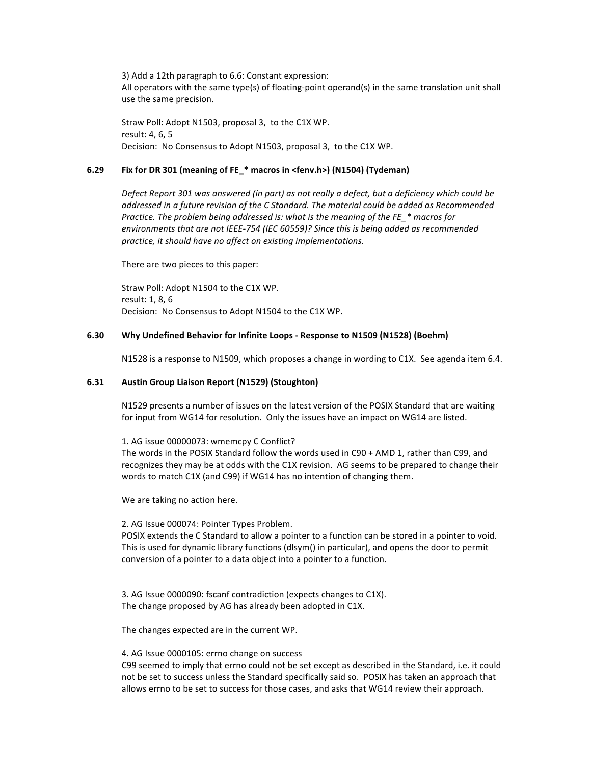3) Add a 12th paragraph to 6.6: Constant expression: All operators with the same type(s) of floating-point operand(s) in the same translation unit shall use the same precision.

Straw Poll: Adopt N1503, proposal 3, to the C1X WP. result: 4, 6, 5 Decision: No Consensus to Adopt N1503, proposal 3, to the C1X WP.

#### **6.29 Fix for DR 301 (meaning of FE\_\* macros in <fenv.h>) (N1504) (Tydeman)**

Defect Report 301 was answered (in part) as not really a defect, but a deficiency which could be addressed in a future revision of the C Standard. The material could be added as Recommended *Practice. The problem being addressed is: what is the meaning of the FE\_\* macros for* environments that are not IEEE-754 (IEC 60559)? Since this is being added as recommended *practice, it should have no affect on existing implementations.* 

There are two pieces to this paper:

Straw Poll: Adopt N1504 to the C1X WP. result: 1, 8, 6 Decision: No Consensus to Adopt N1504 to the C1X WP.

## **6.30 Why Undefined Behavior for Infinite Loops - Response to N1509 (N1528) (Boehm)**

N1528 is a response to N1509, which proposes a change in wording to C1X. See agenda item 6.4.

## **6.31 Austin%Group%Liaison%Report%(N1529)%(Stoughton)**

N1529 presents a number of issues on the latest version of the POSIX Standard that are waiting for input from WG14 for resolution. Only the issues have an impact on WG14 are listed.

1. AG issue 00000073: wmemcpy C Conflict?

The words in the POSIX Standard follow the words used in C90 + AMD 1, rather than C99, and recognizes they may be at odds with the C1X revision. AG seems to be prepared to change their words to match C1X (and C99) if WG14 has no intention of changing them.

We are taking no action here.

2. AG Issue 000074: Pointer Types Problem.

POSIX extends the C Standard to allow a pointer to a function can be stored in a pointer to void. This is used for dynamic library functions (dlsym() in particular), and opens the door to permit conversion of a pointer to a data object into a pointer to a function.

3. AG Issue 0000090: fscanf contradiction (expects changes to C1X). The change proposed by AG has already been adopted in C1X.

The changes expected are in the current WP.

#### 4. AG Issue 0000105: errno change on success

C99 seemed to imply that errno could not be set except as described in the Standard, i.e. it could not be set to success unless the Standard specifically said so. POSIX has taken an approach that allows errno to be set to success for those cases, and asks that WG14 review their approach.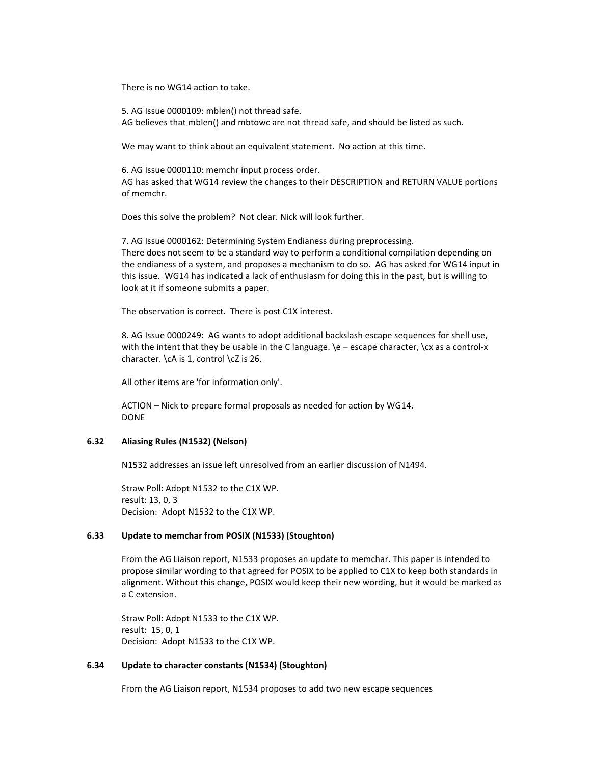There is no WG14 action to take.

5. AG Issue 0000109: mblen() not thread safe. AG believes that mblen() and mbtowc are not thread safe, and should be listed as such.

We may want to think about an equivalent statement. No action at this time.

6. AG Issue 0000110: memchr input process order. AG has asked that WG14 review the changes to their DESCRIPTION and RETURN VALUE portions of memchr.

Does this solve the problem? Not clear. Nick will look further.

7. AG Issue 0000162: Determining System Endianess during preprocessing. There does not seem to be a standard way to perform a conditional compilation depending on the endianess of a system, and proposes a mechanism to do so. AG has asked for WG14 input in this issue. WG14 has indicated a lack of enthusiasm for doing this in the past, but is willing to look at it if someone submits a paper.

The observation is correct. There is post C1X interest.

8. AG Issue 0000249: AG wants to adopt additional backslash escape sequences for shell use, with the intent that they be usable in the C language. \e – escape character, \cx as a control-x character. \cA is 1, control \cZ is 26.

All other items are 'for information only'.

ACTION – Nick to prepare formal proposals as needed for action by WG14. DONE

#### **6.32 Aliasing%Rules%(N1532)%(Nelson)**

N1532 addresses an issue left unresolved from an earlier discussion of N1494.

Straw Poll: Adopt N1532 to the C1X WP. result: 13, 0, 3 Decision: Adopt N1532 to the C1X WP.

#### 6.33 **Update to memchar from POSIX (N1533) (Stoughton)**

From the AG Liaison report, N1533 proposes an update to memchar. This paper is intended to propose similar wording to that agreed for POSIX to be applied to C1X to keep both standards in alignment. Without this change, POSIX would keep their new wording, but it would be marked as a C extension.

Straw Poll: Adopt N1533 to the C1X WP. result: 15, 0, 1 Decision: Adopt N1533 to the C1X WP.

#### **6.34 Update to character constants (N1534) (Stoughton)**

From the AG Liaison report, N1534 proposes to add two new escape sequences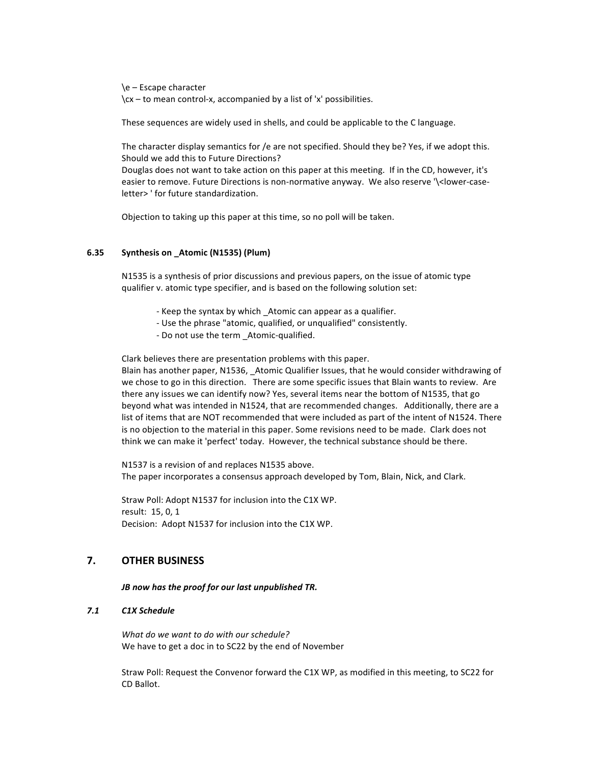\e!–!Escape!character  $\csc -$  to mean control-x, accompanied by a list of 'x' possibilities.

These sequences are widely used in shells, and could be applicable to the C language.

The character display semantics for /e are not specified. Should they be? Yes, if we adopt this. Should we add this to Future Directions?

Douglas does not want to take action on this paper at this meeting. If in the CD, however, it's easier to remove. Future Directions is non-normative anyway. We also reserve '\<lower-caseletter> ' for future standardization.

Objection to taking up this paper at this time, so no poll will be taken.

## **6.35 Synthesis%on%\_Atomic%(N1535)%(Plum)**

N1535 is a synthesis of prior discussions and previous papers, on the issue of atomic type qualifier v. atomic type specifier, and is based on the following solution set:

- Keep the syntax by which \_Atomic can appear as a qualifier.
- Use the phrase "atomic, qualified, or unqualified" consistently.
- Do not use the term \_Atomic-qualified.

Clark believes there are presentation problems with this paper.

Blain has another paper, N1536, \_Atomic Qualifier Issues, that he would consider withdrawing of we chose to go in this direction. There are some specific issues that Blain wants to review. Are there any issues we can identify now? Yes, several items near the bottom of N1535, that go beyond what was intended in N1524, that are recommended changes. Additionally, there are a list of items that are NOT recommended that were included as part of the intent of N1524. There is no objection to the material in this paper. Some revisions need to be made. Clark does not think we can make it 'perfect' today. However, the technical substance should be there.

N1537 is a revision of and replaces N1535 above. The paper incorporates a consensus approach developed by Tom, Blain, Nick, and Clark.

Straw Poll: Adopt N1537 for inclusion into the C1X WP. result: 15, 0, 1 Decision: Adopt N1537 for inclusion into the C1X WP.

# **7.% OTHER%BUSINESS**

#### *JB now has the proof for our last unpublished TR.*

# *7.1 C1X%Schedule*

*What do we want to do with our schedule?* We have to get a doc in to SC22 by the end of November

Straw Poll: Request the Convenor forward the C1X WP, as modified in this meeting, to SC22 for CD!Ballot.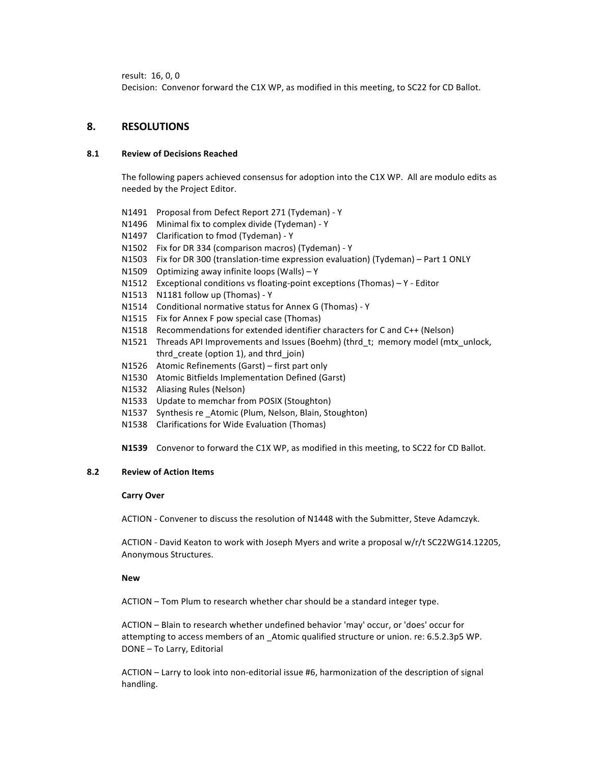result: 16, 0, 0

Decision: Convenor forward the C1X WP, as modified in this meeting, to SC22 for CD Ballot.

# **8. RESOLUTIONS**

## **8.1 Review%of%Decisions%Reached**

The following papers achieved consensus for adoption into the C1X WP. All are modulo edits as needed by the Project Editor.

- N1491 Proposal from Defect Report 271 (Tydeman) Y
- N1496 Minimal fix to complex divide (Tydeman) Y
- N1497 Clarification to fmod (Tydeman) Y
- N1502 Fix for DR 334 (comparison macros) (Tydeman) Y
- N1503 Fix for DR 300 (translation-time expression evaluation) (Tydeman) Part 1 ONLY
- N1509 Optimizing away infinite loops (Walls) Y
- N1512 Exceptional conditions vs floating-point exceptions (Thomas) Y Editor
- N1513 N1181 follow up (Thomas) Y
- N1514 Conditional normative status for Annex G (Thomas) Y
- N1515 Fix for Annex F pow special case (Thomas)
- N1518 Recommendations for extended identifier characters for C and C++ (Nelson)
- N1521 Threads API Improvements and Issues (Boehm) (thrd\_t; memory model (mtx\_unlock, thrd create (option 1), and thrd join)
- N1526 Atomic Refinements (Garst) first part only
- N1530 Atomic Bitfields Implementation Defined (Garst)
- N1532 Aliasing Rules (Nelson)
- N1533 Update to memchar from POSIX (Stoughton)
- N1537 Synthesis re Atomic (Plum, Nelson, Blain, Stoughton)
- N1538 Clarifications for Wide Evaluation (Thomas)

**N1539** Convenor to forward the C1X WP, as modified in this meeting, to SC22 for CD Ballot.

#### **8.2** Review of Action Items

#### **Carry%Over**

ACTION - Convener to discuss the resolution of N1448 with the Submitter, Steve Adamczyk.

ACTION - David Keaton to work with Joseph Myers and write a proposal w/r/t SC22WG14.12205, Anonymous Structures.

#### **New**

ACTION – Tom Plum to research whether char should be a standard integer type.

ACTION – Blain to research whether undefined behavior 'may' occur, or 'does' occur for attempting to access members of an Atomic qualified structure or union. re: 6.5.2.3p5 WP. DONE - To Larry, Editorial

ACTION – Larry to look into non-editorial issue #6, harmonization of the description of signal handling.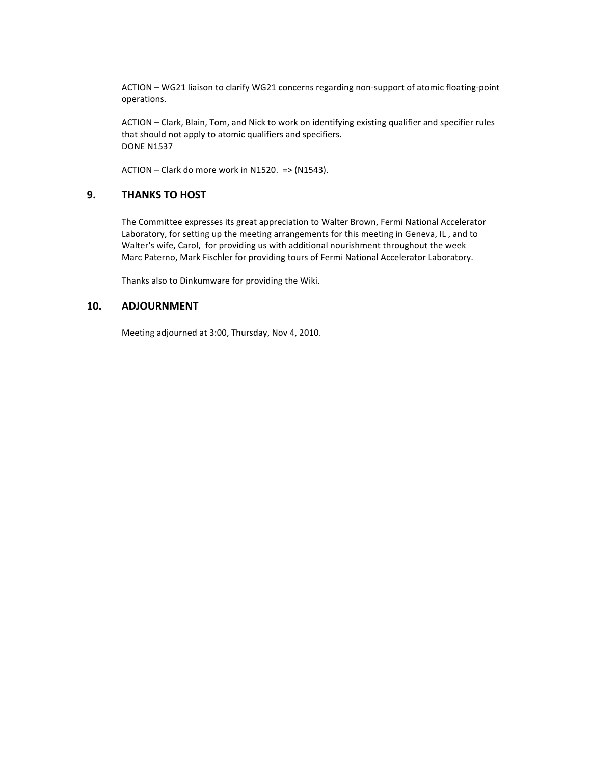ACTION – WG21 liaison to clarify WG21 concerns regarding non-support of atomic floating-point operations.

ACTION - Clark, Blain, Tom, and Nick to work on identifying existing qualifier and specifier rules that should not apply to atomic qualifiers and specifiers. **DONE N1537** 

 $ACTION - Clark$  do more work in N1520.  $\Rightarrow$  (N1543).

# **9. THANKS TO HOST**

The Committee expresses its great appreciation to Walter Brown, Fermi National Accelerator Laboratory, for setting up the meeting arrangements for this meeting in Geneva, IL, and to Walter's wife, Carol, for providing us with additional nourishment throughout the week Marc Paterno, Mark Fischler for providing tours of Fermi National Accelerator Laboratory.

Thanks also to Dinkumware for providing the Wiki.

# **10. ADJOURNMENT**

Meeting adjourned at 3:00, Thursday, Nov 4, 2010.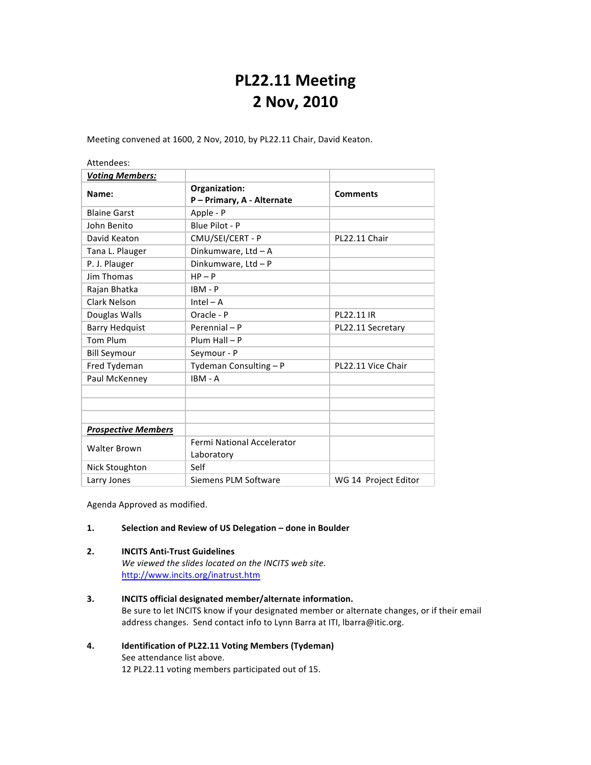# **PL22.11%Meeting 2 Nov,%2010**

Meeting convened at 1600, 2 Nov, 2010, by PL22.11 Chair, David Keaton.

Attendees:

| <b>Voting Members:</b>     |                                           |                      |
|----------------------------|-------------------------------------------|----------------------|
| Name:                      | Organization:<br>P-Primary, A - Alternate | <b>Comments</b>      |
| <b>Blaine Garst</b>        | Apple - P                                 |                      |
| John Benito                | Blue Pilot - P                            |                      |
| David Keaton               | CMU/SEI/CERT - P                          | PL22.11 Chair        |
| Tana L. Plauger            | Dinkumware, Ltd - A                       |                      |
| P. J. Plauger              | Dinkumware, Ltd - P                       |                      |
| <b>Jim Thomas</b>          | $HP - P$                                  |                      |
| Rajan Bhatka               | $IBM - P$                                 |                      |
| Clark Nelson               | $Intel - A$                               |                      |
| Douglas Walls              | Oracle - P                                | PL22.11 IR           |
| <b>Barry Hedquist</b>      | Perennial - P                             | PL22.11 Secretary    |
| <b>Tom Plum</b>            | $Plum Hall - P$                           |                      |
| <b>Bill Seymour</b>        | Seymour - P                               |                      |
| Fred Tydeman               | Tydeman Consulting - P                    | PL22.11 Vice Chair   |
| Paul McKenney              | IBM - A                                   |                      |
|                            |                                           |                      |
| <b>Prospective Members</b> |                                           |                      |
| <b>Walter Brown</b>        | Fermi National Accelerator<br>Laboratory  |                      |
| <b>Nick Stoughton</b>      | Self                                      |                      |
| Larry Jones                | Siemens PLM Software                      | WG 14 Project Editor |

Agenda Approved as modified.

#### 1. **Selection and Review of US Delegation - done in Boulder**

#### **2. INCITS Anti-Trust Guidelines**

We viewed the slides located on the INCITS web site. http://www.incits.org/inatrust.htm

- **3. INCITS official designated member/alternate information.** Be sure to let INCITS know if your designated member or alternate changes, or if their email address changes. Send contact info to Lynn Barra at ITI, Ibarra@itic.org.
- 4. **Identification of PL22.11 Voting Members (Tydeman)** See attendance list above. 12 PL22.11 voting members participated out of 15.